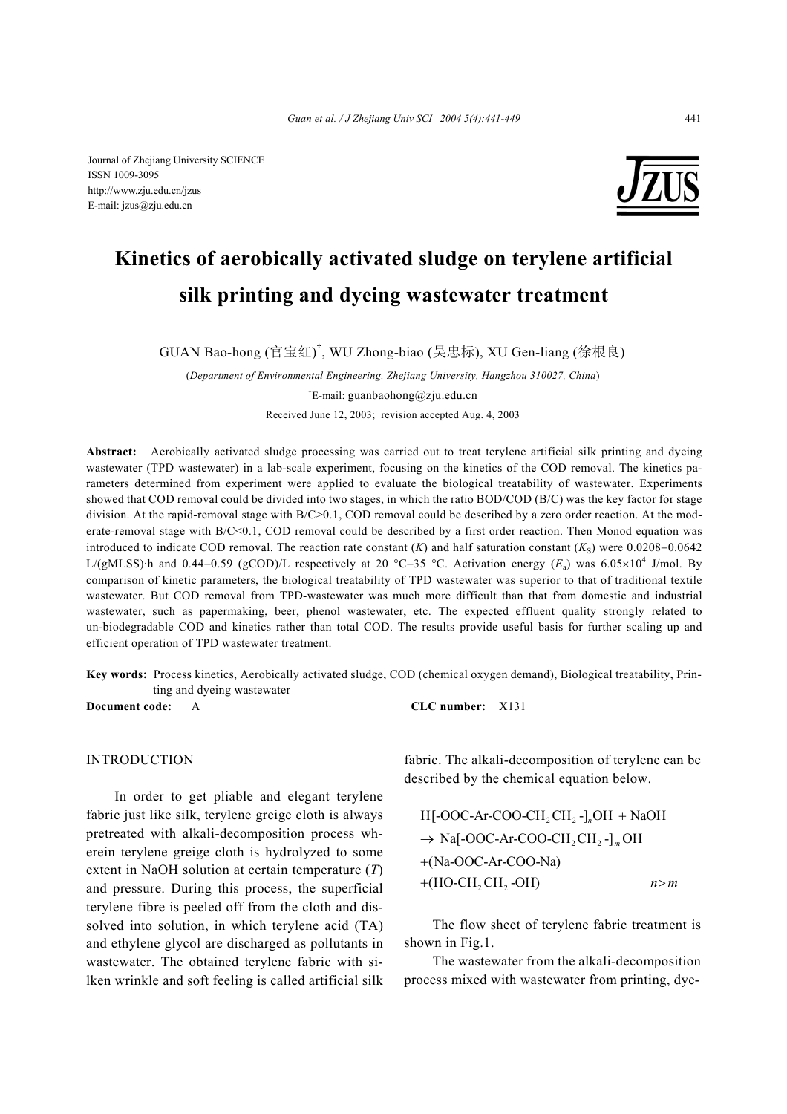

# **Kinetics of aerobically activated sludge on terylene artificial silk printing and dyeing wastewater treatment**

GUAN Bao-hong (官宝红) † , WU Zhong-biao (吴忠标), XU Gen-liang (徐根良)

(*Department of Environmental Engineering, Zhejiang University, Hangzhou 310027, China*) † E-mail: guanbaohong@zju.edu.cn Received June 12, 2003; revision accepted Aug. 4, 2003

**Abstract:** Aerobically activated sludge processing was carried out to treat terylene artificial silk printing and dyeing wastewater (TPD wastewater) in a lab-scale experiment, focusing on the kinetics of the COD removal. The kinetics parameters determined from experiment were applied to evaluate the biological treatability of wastewater. Experiments showed that COD removal could be divided into two stages, in which the ratio BOD/COD (B/C) was the key factor for stage division. At the rapid-removal stage with B/C>0.1, COD removal could be described by a zero order reaction. At the moderate-removal stage with B/C<0.1, COD removal could be described by a first order reaction. Then Monod equation was introduced to indicate COD removal. The reaction rate constant  $(K)$  and half saturation constant  $(K<sub>S</sub>)$  were 0.0208–0.0642 L/(gMLSS)·h and 0.44−0.59 (gCOD)/L respectively at 20 °C−35 °C. Activation energy (*E*a) was 6.05×10<sup>4</sup> J/mol. By comparison of kinetic parameters, the biological treatability of TPD wastewater was superior to that of traditional textile wastewater. But COD removal from TPD-wastewater was much more difficult than that from domestic and industrial wastewater, such as papermaking, beer, phenol wastewater, etc. The expected effluent quality strongly related to un-biodegradable COD and kinetics rather than total COD. The results provide useful basis for further scaling up and efficient operation of TPD wastewater treatment.

**Key words:** Process kinetics, Aerobically activated sludge, COD (chemical oxygen demand), Biological treatability, Printing and dyeing wastewater

INTRODUCTION

In order to get pliable and elegant terylene fabric just like silk, terylene greige cloth is always pretreated with alkali-decomposition process wherein terylene greige cloth is hydrolyzed to some extent in NaOH solution at certain temperature (*T*) and pressure. During this process, the superficial terylene fibre is peeled off from the cloth and dissolved into solution, in which terylene acid (TA) and ethylene glycol are discharged as pollutants in wastewater. The obtained terylene fabric with silken wrinkle and soft feeling is called artificial silk

**Document code:** A **CLC number:** X131

fabric. The alkali-decomposition of terylene can be described by the chemical equation below.

| $H[-OOC-Ar-COO-CH, CH, -]$ <sub>n</sub> $OH + NaOH$ |     |
|-----------------------------------------------------|-----|
| $\rightarrow$ Na[-OOC-Ar-COO-CH, CH, -] [OH         |     |
| $+(Na-OOC-Ar-COO-Na)$                               |     |
| $+(HO-CH, CH, -OH)$                                 | n>m |

The flow sheet of terylene fabric treatment is shown in Fig.1.

The wastewater from the alkali-decomposition process mixed with wastewater from printing, dye-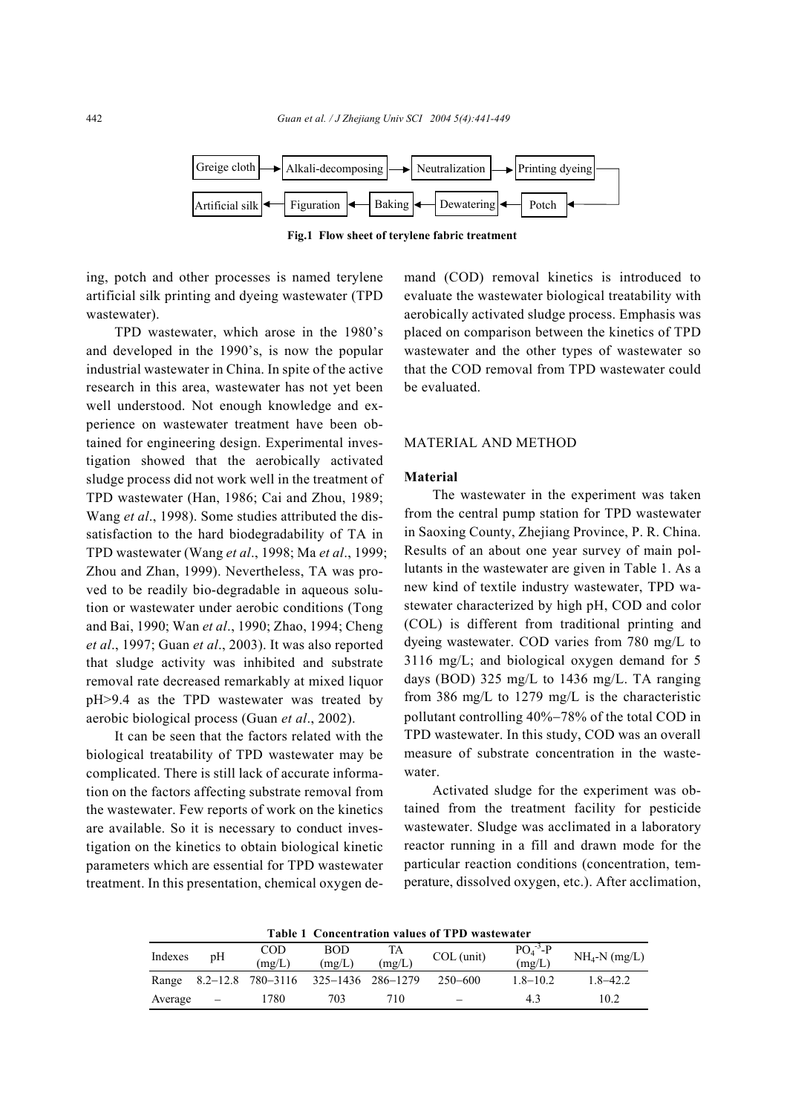

**Fig.1 Flow sheet of terylene fabric treatment** 

ing, potch and other processes is named terylene artificial silk printing and dyeing wastewater (TPD wastewater).

TPD wastewater, which arose in the 1980's and developed in the 1990's, is now the popular industrial wastewater in China. In spite of the active research in this area, wastewater has not yet been well understood. Not enough knowledge and experience on wastewater treatment have been obtained for engineering design. Experimental investigation showed that the aerobically activated sludge process did not work well in the treatment of TPD wastewater (Han, 1986; Cai and Zhou, 1989; Wang *et al*., 1998). Some studies attributed the dissatisfaction to the hard biodegradability of TA in TPD wastewater (Wang *et al*., 1998; Ma *et al*., 1999; Zhou and Zhan, 1999). Nevertheless, TA was proved to be readily bio-degradable in aqueous solution or wastewater under aerobic conditions (Tong and Bai, 1990; Wan *et al*., 1990; Zhao, 1994; Cheng *et al*., 1997; Guan *et al*., 2003). It was also reported that sludge activity was inhibited and substrate removal rate decreased remarkably at mixed liquor pH>9.4 as the TPD wastewater was treated by aerobic biological process (Guan *et al*., 2002).

It can be seen that the factors related with the biological treatability of TPD wastewater may be complicated. There is still lack of accurate information on the factors affecting substrate removal from the wastewater. Few reports of work on the kinetics are available. So it is necessary to conduct investigation on the kinetics to obtain biological kinetic parameters which are essential for TPD wastewater treatment. In this presentation, chemical oxygen demand (COD) removal kinetics is introduced to evaluate the wastewater biological treatability with aerobically activated sludge process. Emphasis was placed on comparison between the kinetics of TPD wastewater and the other types of wastewater so that the COD removal from TPD wastewater could be evaluated.

# MATERIAL AND METHOD

## **Material**

The wastewater in the experiment was taken from the central pump station for TPD wastewater in Saoxing County, Zhejiang Province, P. R. China. Results of an about one year survey of main pollutants in the wastewater are given in Table 1. As a new kind of textile industry wastewater, TPD wastewater characterized by high pH, COD and color (COL) is different from traditional printing and dyeing wastewater. COD varies from 780 mg/L to 3116 mg/L; and biological oxygen demand for 5 days (BOD) 325 mg/L to 1436 mg/L. TA ranging from 386 mg/L to 1279 mg/L is the characteristic pollutant controlling 40%−78% of the total COD in TPD wastewater. In this study, COD was an overall measure of substrate concentration in the wastewater.

Activated sludge for the experiment was obtained from the treatment facility for pesticide wastewater. Sludge was acclimated in a laboratory reactor running in a fill and drawn mode for the particular reaction conditions (concentration, temperature, dissolved oxygen, etc.). After acclimation,

| Table T Contentration values of TTD wastewater |    |                                     |        |        |                          |                        |                 |  |
|------------------------------------------------|----|-------------------------------------|--------|--------|--------------------------|------------------------|-----------------|--|
|                                                | pΗ | COD                                 | BOD    | TA     | $COL$ (unit)             | $PO4$ <sup>-3</sup> -P | $NH_4-N$ (mg/L) |  |
| Indexes                                        |    | mg/L)                               | (mg/L) | (mg/L) |                          | (mg/L)                 |                 |  |
| Range                                          |    | 8.2–12.8 780–3116 325–1436 286–1279 |        |        | 250–600                  | $1.8 - 10.2$           | $1.8 - 42.2$    |  |
| Average                                        |    | 1780                                | 703    | 710    | $\overline{\phantom{0}}$ | 43                     | 102             |  |

**Table 1 Concentration values of TPD wastewater**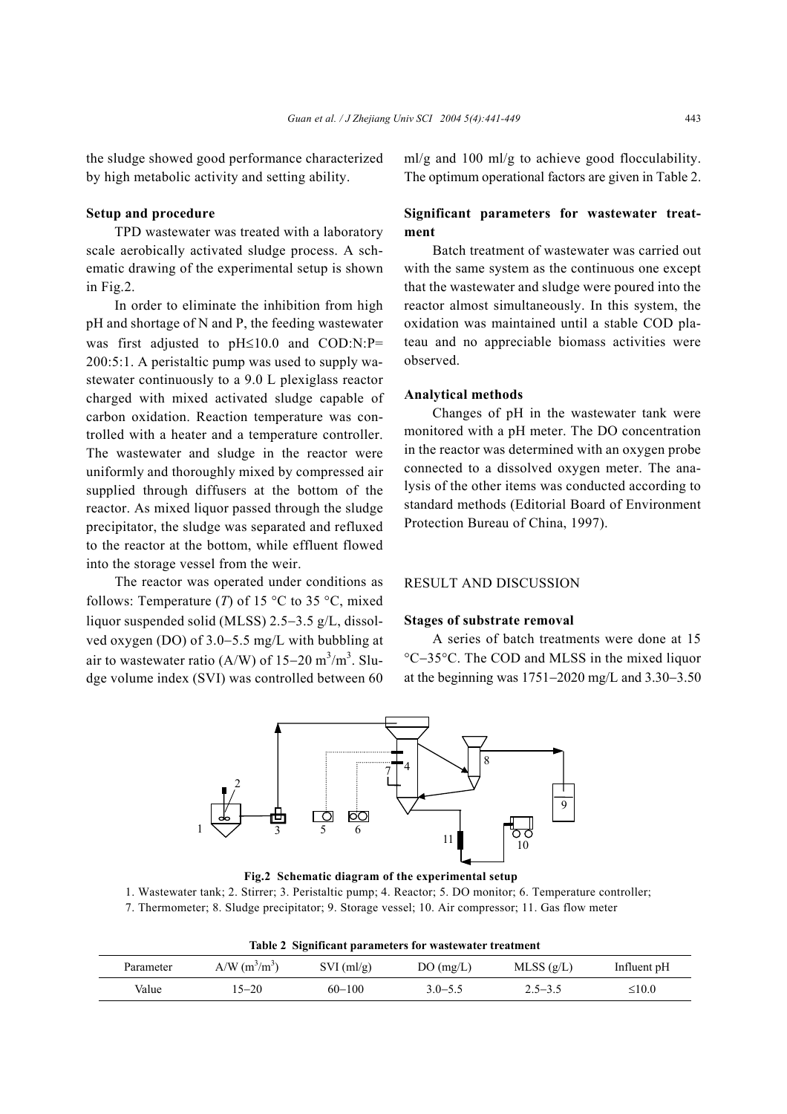the sludge showed good performance characterized by high metabolic activity and setting ability.

# **Setup and procedure**

TPD wastewater was treated with a laboratory scale aerobically activated sludge process. A schematic drawing of the experimental setup is shown in Fig.2.

In order to eliminate the inhibition from high pH and shortage of N and P, the feeding wastewater was first adjusted to pH≤10.0 and COD:N:P= 200:5:1. A peristaltic pump was used to supply wastewater continuously to a 9.0 L plexiglass reactor charged with mixed activated sludge capable of carbon oxidation. Reaction temperature was controlled with a heater and a temperature controller. The wastewater and sludge in the reactor were uniformly and thoroughly mixed by compressed air supplied through diffusers at the bottom of the reactor. As mixed liquor passed through the sludge precipitator, the sludge was separated and refluxed to the reactor at the bottom, while effluent flowed into the storage vessel from the weir.

The reactor was operated under conditions as follows: Temperature (*T*) of 15  $\degree$ C to 35  $\degree$ C, mixed liquor suspended solid (MLSS) 2.5−3.5 g/L, dissolved oxygen (DO) of 3.0−5.5 mg/L with bubbling at air to wastewater ratio (A/W) of  $15-20$  m<sup>3</sup>/m<sup>3</sup>. Sludge volume index (SVI) was controlled between 60

ml/g and 100 ml/g to achieve good flocculability. The optimum operational factors are given in Table 2.

# **Significant parameters for wastewater treatment**

Batch treatment of wastewater was carried out with the same system as the continuous one except that the wastewater and sludge were poured into the reactor almost simultaneously. In this system, the oxidation was maintained until a stable COD plateau and no appreciable biomass activities were observed.

#### **Analytical methods**

Changes of pH in the wastewater tank were monitored with a pH meter. The DO concentration in the reactor was determined with an oxygen probe connected to a dissolved oxygen meter. The analysis of the other items was conducted according to standard methods (Editorial Board of Environment Protection Bureau of China, 1997).

# RESULT AND DISCUSSION

#### **Stages of substrate removal**

A series of batch treatments were done at 15 °C−35°C. The COD and MLSS in the mixed liquor at the beginning was 1751−2020 mg/L and 3.30−3.50



**Fig.2 Schematic diagram of the experimental setup** 

1. Wastewater tank; 2. Stirrer; 3. Peristaltic pump; 4. Reactor; 5. DO monitor; 6. Temperature controller;

7. Thermometer; 8. Sludge precipitator; 9. Storage vessel; 10. Air compressor; 11. Gas flow meter

**Table 2 Significant parameters for wastewater treatment** 

| Parameter | A/W $(m^3/m^3)$ | $SVI$ (ml/g) | DO(mg/L)    | MLSS(g/L)   | Influent pH |
|-----------|-----------------|--------------|-------------|-------------|-------------|
| Value     | $15 - 20$       | $60 - 100$   | $3.0 - 5.5$ | $2.5 - 3.5$ | $\leq 10.0$ |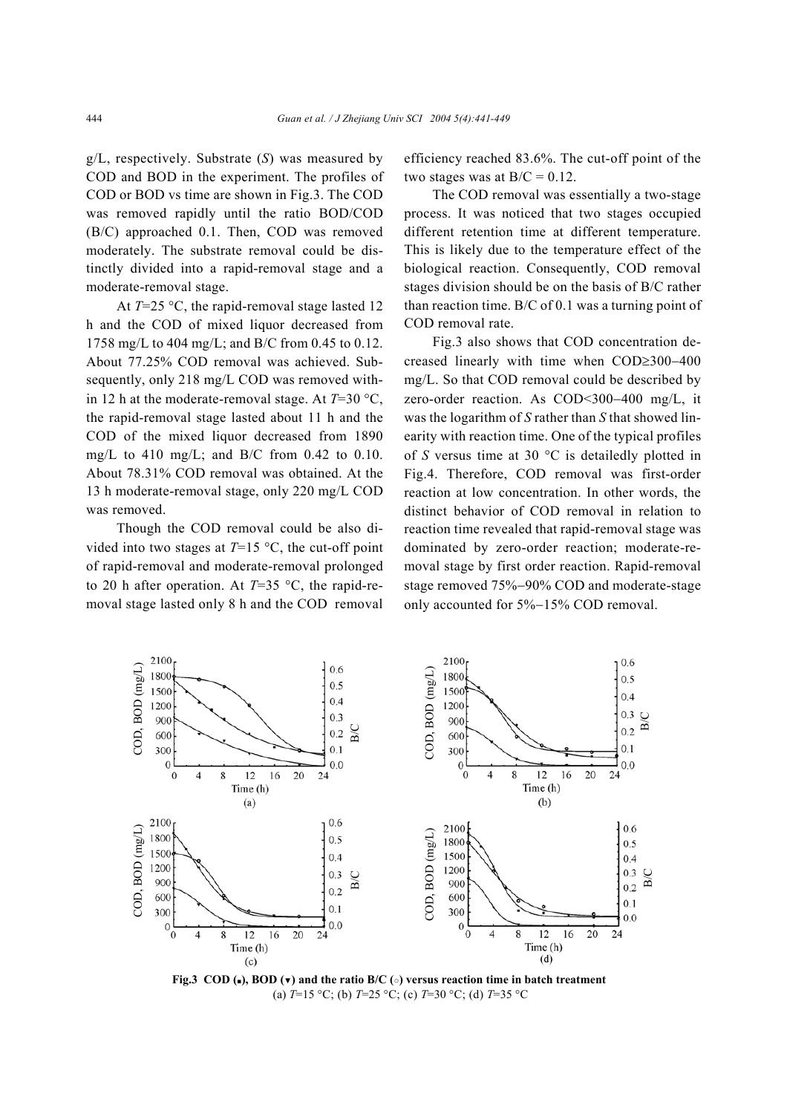g/L, respectively. Substrate (*S*) was measured by COD and BOD in the experiment. The profiles of COD or BOD vs time are shown in Fig.3. The COD was removed rapidly until the ratio BOD/COD (B/C) approached 0.1. Then, COD was removed moderately. The substrate removal could be distinctly divided into a rapid-removal stage and a moderate-removal stage.

At *T*=25 °C, the rapid-removal stage lasted 12 h and the COD of mixed liquor decreased from 1758 mg/L to 404 mg/L; and B/C from 0.45 to 0.12. About 77.25% COD removal was achieved. Subsequently, only 218 mg/L COD was removed within 12 h at the moderate-removal stage. At *T*=30 °C, the rapid-removal stage lasted about 11 h and the COD of the mixed liquor decreased from 1890 mg/L to 410 mg/L; and B/C from 0.42 to 0.10. About 78.31% COD removal was obtained. At the 13 h moderate-removal stage, only 220 mg/L COD was removed.

Though the COD removal could be also divided into two stages at  $T=15$  °C, the cut-off point of rapid-removal and moderate-removal prolonged to 20 h after operation. At  $T=35$  °C, the rapid-removal stage lasted only 8 h and the COD removal

efficiency reached 83.6%. The cut-off point of the two stages was at  $B/C = 0.12$ .

The COD removal was essentially a two-stage process. It was noticed that two stages occupied different retention time at different temperature. This is likely due to the temperature effect of the biological reaction. Consequently, COD removal stages division should be on the basis of B/C rather than reaction time. B/C of 0.1 was a turning point of COD removal rate.

Fig.3 also shows that COD concentration decreased linearly with time when COD≥300−400 mg/L. So that COD removal could be described by zero-order reaction. As COD<300−400 mg/L, it was the logarithm of *S* rather than *S* that showed linearity with reaction time. One of the typical profiles of *S* versus time at 30 °C is detailedly plotted in Fig.4. Therefore, COD removal was first-order reaction at low concentration. In other words, the distinct behavior of COD removal in relation to reaction time revealed that rapid-removal stage was dominated by zero-order reaction; moderate-removal stage by first order reaction. Rapid-removal stage removed 75%−90% COD and moderate-stage only accounted for 5%−15% COD removal.



**Fig.3 COD (■), BOD (▼) and the ratio B/C (○) versus reaction time in batch treatment**  (a) *T*=15 °C; (b) *T*=25 °C; (c) *T*=30 °C; (d) *T*=35 °C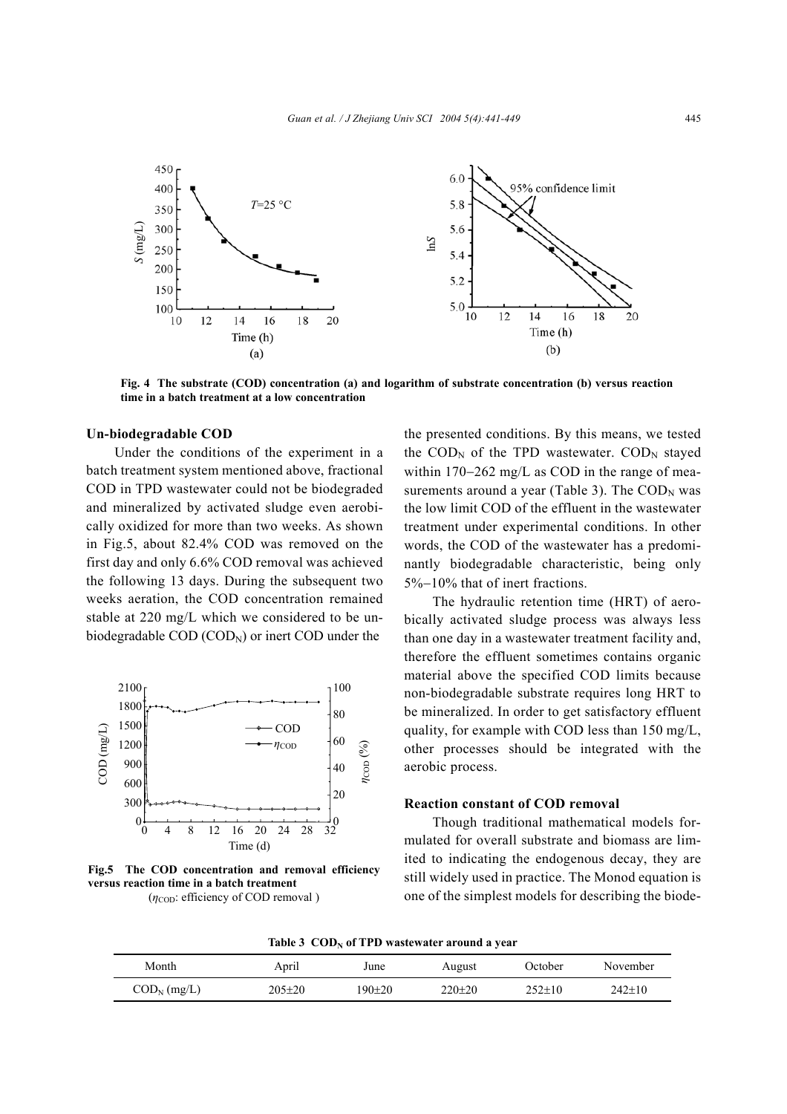

**Fig. 4 The substrate (COD) concentration (a) and logarithm of substrate concentration (b) versus reaction time in a batch treatment at a low concentration**

#### **Un-biodegradable COD**

Under the conditions of the experiment in a batch treatment system mentioned above, fractional COD in TPD wastewater could not be biodegraded and mineralized by activated sludge even aerobically oxidized for more than two weeks. As shown in Fig.5, about 82.4% COD was removed on the first day and only 6.6% COD removal was achieved the following 13 days. During the subsequent two weeks aeration, the COD concentration remained stable at 220 mg/L which we considered to be unbiodegradable  $\text{COD}$  ( $\text{COD}_N$ ) or inert  $\text{COD}$  under the



**Fig.5 The COD concentration and removal efficiency versus reaction time in a batch treatment**  ( $η<sub>COD</sub>$ : efficiency of COD removal)

the presented conditions. By this means, we tested the  $\text{COD}_N$  of the TPD wastewater.  $\text{COD}_N$  stayed within 170−262 mg/L as COD in the range of measurements around a year (Table 3). The  $\text{COD}_N$  was the low limit COD of the effluent in the wastewater treatment under experimental conditions. In other words, the COD of the wastewater has a predominantly biodegradable characteristic, being only 5%−10% that of inert fractions.

The hydraulic retention time (HRT) of aerobically activated sludge process was always less than one day in a wastewater treatment facility and, therefore the effluent sometimes contains organic material above the specified COD limits because non-biodegradable substrate requires long HRT to be mineralized. In order to get satisfactory effluent quality, for example with COD less than 150 mg/L, other processes should be integrated with the aerobic process.

# **Reaction constant of COD removal**

Though traditional mathematical models formulated for overall substrate and biomass are limited to indicating the endogenous decay, they are still widely used in practice. The Monod equation is one of the simplest models for describing the biode-

Table 3 COD<sub>N</sub> of TPD wastewater around a year

| Month                                         | April        | June   | August       | October      | November     |
|-----------------------------------------------|--------------|--------|--------------|--------------|--------------|
| $\mathrm{COD}_N \left( \mathrm{mg/L} \right)$ | $205 \pm 20$ | 190±20 | $220 \pm 20$ | $252 \pm 10$ | $242 \pm 10$ |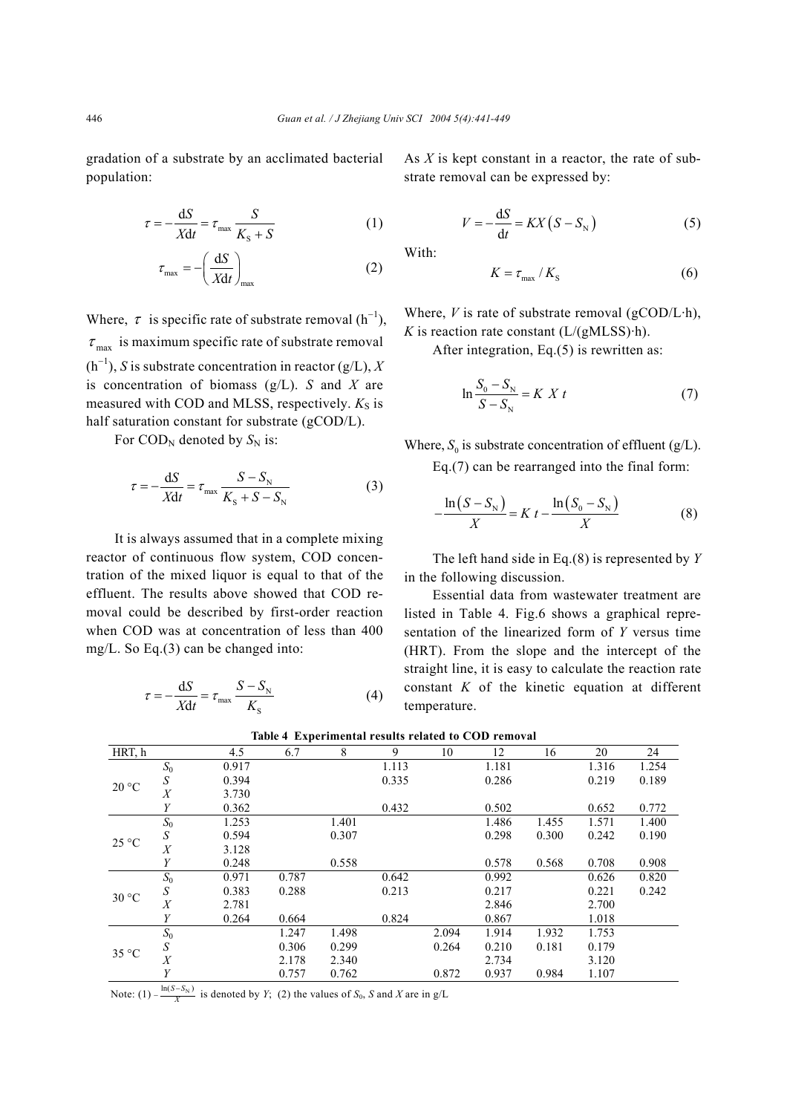gradation of a substrate by an acclimated bacterial population:

$$
\tau = -\frac{\mathrm{d}S}{X\mathrm{d}t} = \tau_{\text{max}} \frac{S}{K_{\text{s}} + S} \tag{1}
$$

$$
\tau_{\text{max}} = -\left(\frac{\text{d}S}{X\text{d}t}\right)_{\text{max}}\tag{2}
$$

Where,  $\tau$  is specific rate of substrate removal (h<sup>-1</sup>),  $\tau_{\text{max}}$  is maximum specific rate of substrate removal  $(h^{-1})$ , *S* is substrate concentration in reactor (g/L), *X* is concentration of biomass (g/L). *S* and *X* are measured with COD and MLSS, respectively.  $K_S$  is half saturation constant for substrate (gCOD/L).

For  $\text{COD}_N$  denoted by  $S_N$  is:

$$
\tau = -\frac{\mathrm{d}S}{X\mathrm{d}t} = \tau_{\text{max}} \frac{S - S_{\text{N}}}{K_{\text{S}} + S - S_{\text{N}}}
$$
(3)

It is always assumed that in a complete mixing reactor of continuous flow system, COD concentration of the mixed liquor is equal to that of the effluent. The results above showed that COD removal could be described by first-order reaction when COD was at concentration of less than 400 mg/L. So Eq.(3) can be changed into:

$$
\tau = -\frac{\mathrm{d}S}{X\mathrm{d}t} = \tau_{\text{max}} \frac{S - S_{\text{N}}}{K_{\text{S}}} \tag{4}
$$

As *X* is kept constant in a reactor, the rate of substrate removal can be expressed by:

$$
V = -\frac{\mathrm{d}S}{\mathrm{d}t} = KX(S - S_{\mathrm{N}})
$$
\n(5)

With:

$$
K = \tau_{\text{max}} / K_{\text{S}} \tag{6}
$$

Where,  $V$  is rate of substrate removal ( $g$ COD/L·h), *K* is reaction rate constant  $(L/(gMLSS) \cdot h)$ .

After integration, Eq.(5) is rewritten as:

$$
\ln \frac{S_0 - S_{\rm N}}{S - S_{\rm N}} = K \; X \; t \tag{7}
$$

Where,  $S_0$  is substrate concentration of effluent (g/L). Eq.(7) can be rearranged into the final form:

$$
-\frac{\ln(S - S_{\rm N})}{\sqrt{S_{\rm N} + S_{\rm N}}} = K t - \frac{\ln(S_0 - S_{\rm N})}{\sqrt{S_{\rm N} + S_{\rm N}}} \tag{8}
$$

The left hand side in Eq.(8) is represented by *Y* in the following discussion.

*X X*

Essential data from wastewater treatment are listed in Table 4. Fig.6 shows a graphical representation of the linearized form of *Y* versus time (HRT). From the slope and the intercept of the straight line, it is easy to calculate the reaction rate constant *K* of the kinetic equation at different temperature.

|                  | 4.5   | 6.7   | 8     | 9     | 10    | 12    | 16    | 20    | 24    |
|------------------|-------|-------|-------|-------|-------|-------|-------|-------|-------|
| $S_0$            | 0.917 |       |       | 1.113 |       | 1.181 |       | 1.316 | 1.254 |
| S                | 0.394 |       |       | 0.335 |       | 0.286 |       | 0.219 | 0.189 |
| X                | 3.730 |       |       |       |       |       |       |       |       |
| Y                | 0.362 |       |       | 0.432 |       | 0.502 |       | 0.652 | 0.772 |
| $S_0$            | 1.253 |       | 1.401 |       |       | 1.486 | 1.455 | 1.571 | 1.400 |
| $\boldsymbol{S}$ | 0.594 |       | 0.307 |       |       | 0.298 | 0.300 | 0.242 | 0.190 |
| $\boldsymbol{X}$ | 3.128 |       |       |       |       |       |       |       |       |
| Y                | 0.248 |       | 0.558 |       |       | 0.578 | 0.568 | 0.708 | 0.908 |
| $S_0$            | 0.971 | 0.787 |       | 0.642 |       | 0.992 |       | 0.626 | 0.820 |
| S                | 0.383 | 0.288 |       | 0.213 |       | 0.217 |       | 0.221 | 0.242 |
| X                | 2.781 |       |       |       |       | 2.846 |       | 2.700 |       |
| Y                | 0.264 | 0.664 |       | 0.824 |       | 0.867 |       | 1.018 |       |
| $S_0$            |       | 1.247 | 1.498 |       | 2.094 | 1.914 | 1.932 | 1.753 |       |
| S                |       | 0.306 | 0.299 |       | 0.264 | 0.210 | 0.181 | 0.179 |       |
| X                |       | 2.178 | 2.340 |       |       | 2.734 |       | 3.120 |       |
| Y                |       | 0.757 | 0.762 |       | 0.872 | 0.937 | 0.984 | 1.107 |       |
|                  |       |       |       |       |       |       |       |       |       |

**Table 4 Experimental results related to COD removal** 

Note: (1)  $-\frac{\ln(S-S_N)}{X}$  is denoted by *Y*; (2) the values of *S*<sub>0</sub>, *S* and *X* are in g/L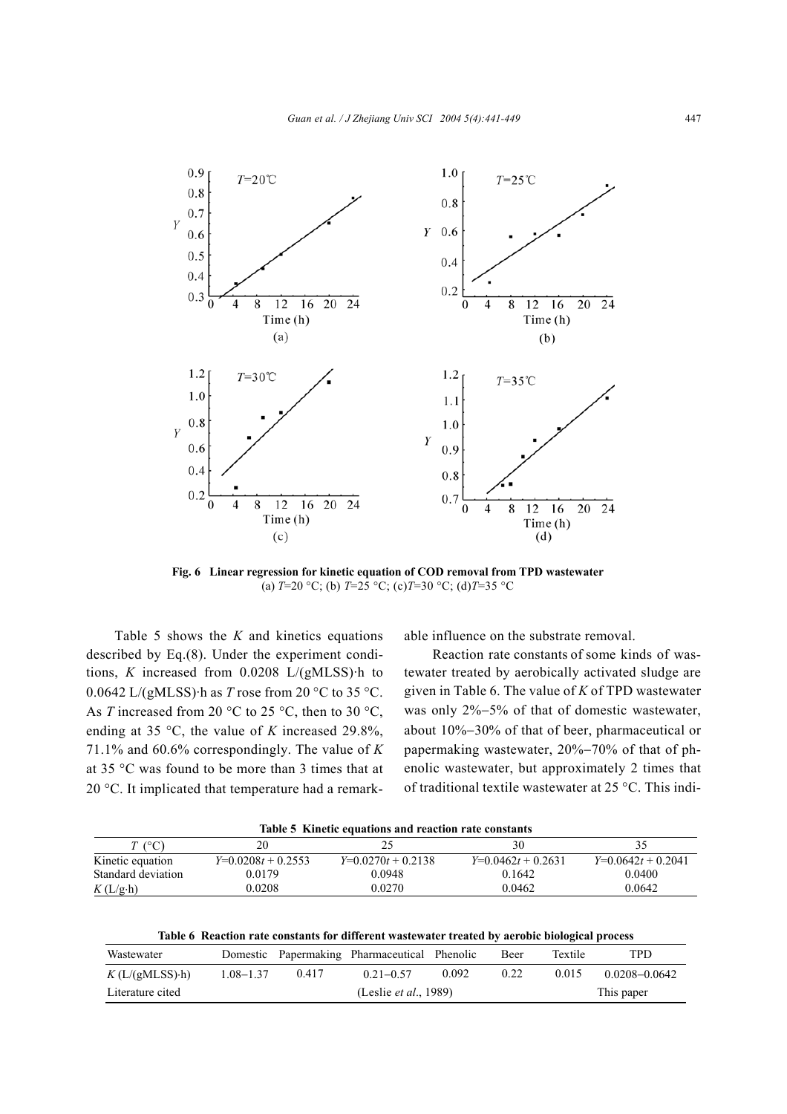

**Fig. 6 Linear regression for kinetic equation of COD removal from TPD wastewater**  (a) *T*=20 °C; (b) *T*=25 °C; (c)*T*=30 °C; (d)*T*=35 °C

Table 5 shows the *K* and kinetics equations described by Eq.(8). Under the experiment conditions, *K* increased from 0.0208 L/(gMLSS)·h to  $0.0642$  L/(gMLSS) $\cdot$ h as *T* rose from 20  $\degree$ C to 35  $\degree$ C. As *T* increased from 20 °C to 25 °C, then to 30 °C, ending at 35 °C, the value of *K* increased 29.8%, 71.1% and 60.6% correspondingly. The value of *K* at 35 °C was found to be more than 3 times that at 20 °C. It implicated that temperature had a remarkable influence on the substrate removal.

Reaction rate constants of some kinds of wastewater treated by aerobically activated sludge are given in Table 6. The value of *K* of TPD wastewater was only 2%−5% of that of domestic wastewater, about 10%−30% of that of beer, pharmaceutical or papermaking wastewater, 20%−70% of that of phenolic wastewater, but approximately 2 times that of traditional textile wastewater at 25 °C. This indi-

| Table 5 Kinetic equations and reaction rate constants |                    |                    |                    |                    |  |  |  |
|-------------------------------------------------------|--------------------|--------------------|--------------------|--------------------|--|--|--|
| $T$ (°C)                                              | 20                 | 25                 | 30                 |                    |  |  |  |
| Kinetic equation                                      | $Y=0.0208t+0.2553$ | $Y=0.0270t+0.2138$ | $Y=0.0462t+0.2631$ | $Y=0.0642t+0.2041$ |  |  |  |
| Standard deviation                                    | 0.0179             | 0.0948             | 0.1642             | 0.0400             |  |  |  |
| $K(L/g \cdot h)$                                      | 0.0208             | 0.0270             | 0.0462             | 0.0642             |  |  |  |

| Wastewater             |           |       | Domestic Papermaking Pharmaceutical Phenolic |       | Beer       | <b>Textile</b> | TPD.              |
|------------------------|-----------|-------|----------------------------------------------|-------|------------|----------------|-------------------|
| $K(L/(gMLSS) \cdot h)$ | 1.08–1.37 | 0.417 | $0.21 - 0.57$                                | 0.092 | 0.22       | 0.015          | $0.0208 - 0.0642$ |
| Literature cited       |           |       | (Leslie <i>et al.</i> , 1989)                |       | This paper |                |                   |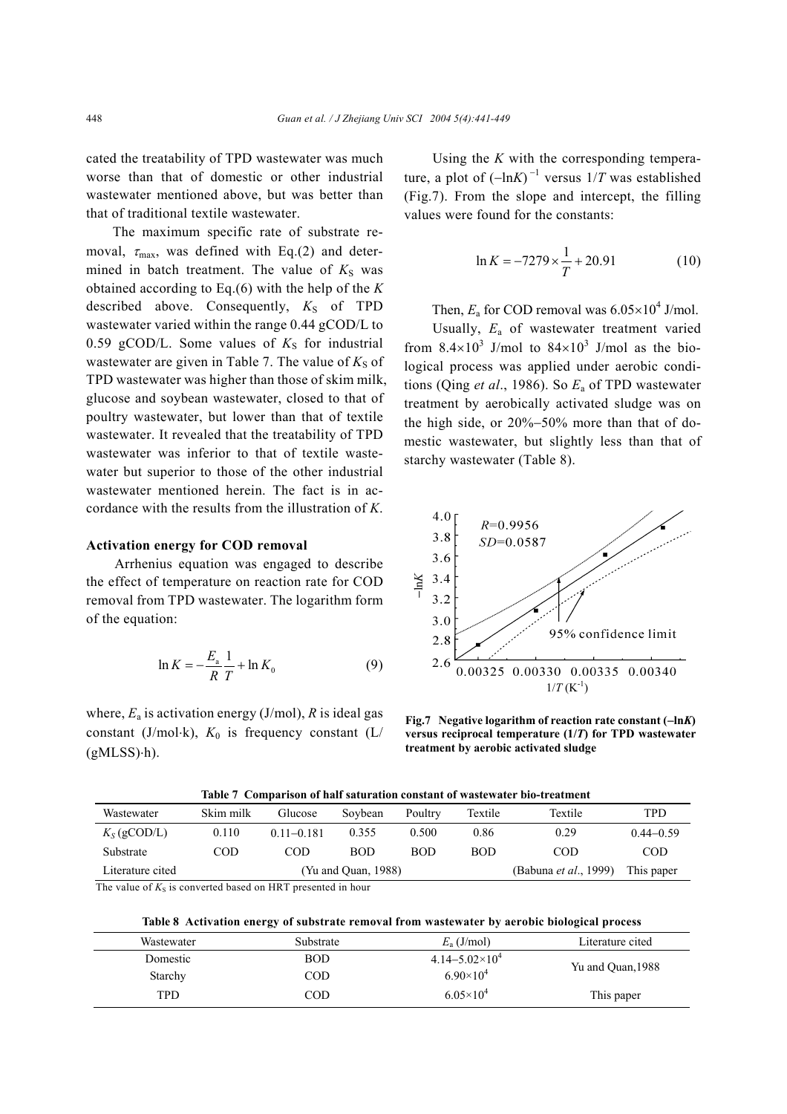cated the treatability of TPD wastewater was much worse than that of domestic or other industrial wastewater mentioned above, but was better than that of traditional textile wastewater.

The maximum specific rate of substrate removal,  $\tau_{\text{max}}$ , was defined with Eq.(2) and determined in batch treatment. The value of  $K<sub>S</sub>$  was obtained according to Eq.(6) with the help of the *K* described above. Consequently,  $K<sub>S</sub>$  of TPD wastewater varied within the range 0.44 gCOD/L to 0.59 gCOD/L. Some values of  $K<sub>S</sub>$  for industrial wastewater are given in Table 7. The value of  $K_S$  of TPD wastewater was higher than those of skim milk, glucose and soybean wastewater, closed to that of poultry wastewater, but lower than that of textile wastewater. It revealed that the treatability of TPD wastewater was inferior to that of textile wastewater but superior to those of the other industrial wastewater mentioned herein. The fact is in accordance with the results from the illustration of *K*.

## **Activation energy for COD removal**

Arrhenius equation was engaged to describe the effect of temperature on reaction rate for COD removal from TPD wastewater. The logarithm form of the equation:

$$
\ln K = -\frac{E_{\rm a}}{R} \frac{1}{T} + \ln K_0 \tag{9}
$$

where,  $E_a$  is activation energy (J/mol),  $R$  is ideal gas constant (J/mol⋅k),  $K_0$  is frequency constant (L/  $(gMLSS)·h$ ).

Using the *K* with the corresponding temperature, a plot of  $(-\ln K)^{-1}$  versus  $1/T$  was established (Fig.7). From the slope and intercept, the filling values were found for the constants:

$$
\ln K = -7279 \times \frac{1}{T} + 20.91\tag{10}
$$

# Then,  $E_a$  for COD removal was  $6.05 \times 10^4$  J/mol.

Usually, *E*a of wastewater treatment varied from  $8.4 \times 10^3$  J/mol to  $84 \times 10^3$  J/mol as the biological process was applied under aerobic conditions (Qing *et al*., 1986). So *E*a of TPD wastewater treatment by aerobically activated sludge was on the high side, or 20%−50% more than that of domestic wastewater, but slightly less than that of starchy wastewater (Table 8).



**Fig.7 Negative logarithm of reaction rate constant (**−**ln***K***) versus reciprocal temperature (1/***T***) for TPD wastewater treatment by aerobic activated sludge** 

|  |  | Table 7 Comparison of half saturation constant of wastewater bio-treatment |  |  |  |
|--|--|----------------------------------------------------------------------------|--|--|--|
|--|--|----------------------------------------------------------------------------|--|--|--|

| Wastewater       | Skim milk           | Glucose        | Sovbean    | Poultry    | Textile    | Textile                       | TPD           |
|------------------|---------------------|----------------|------------|------------|------------|-------------------------------|---------------|
| $K_S$ (gCOD/L)   | 0.110               | $0.11 - 0.181$ | 0.355      | 0.500      | 0.86       | 0.29                          | $0.44 - 0.59$ |
| Substrate        | COD                 | COD            | <b>BOD</b> | <b>BOD</b> | <b>BOD</b> | <b>COD</b>                    | COD           |
| Literature cited | (Yu and Quan, 1988) |                |            |            |            | (Babuna <i>et al.</i> , 1999) | This paper    |

The value of  $K_S$  is converted based on HRT presented in hour

**Table 8 Activation energy of substrate removal from wastewater by aerobic biological process**

| Wastewater | Substrate  | $E_a$ (J/mol)             | Literature cited  |
|------------|------------|---------------------------|-------------------|
| Domestic   | <b>BOD</b> | $4.14 - 5.02 \times 10^4$ | Yu and Quan, 1988 |
| Starchy    | COD        | $6.90\times10^{4}$        |                   |
| TPD        | COD        | $6.05 \times 10^4$        | This paper        |